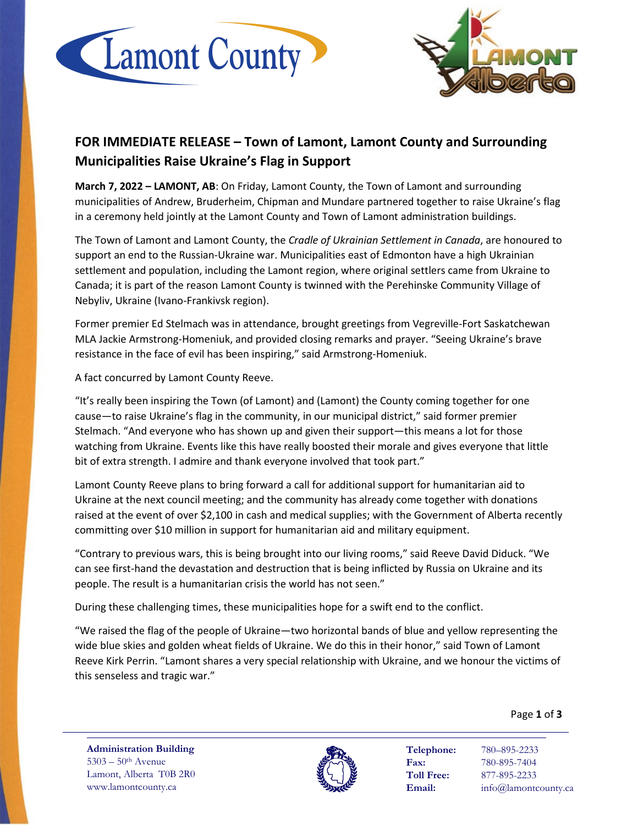



## **FOR IMMEDIATE RELEASE – Town of Lamont, Lamont County and Surrounding Municipalities Raise Ukraine's Flag in Support**

**March 7, 2022 – LAMONT, AB**: On Friday, Lamont County, the Town of Lamont and surrounding municipalities of Andrew, Bruderheim, Chipman and Mundare partnered together to raise Ukraine's flag in a ceremony held jointly at the Lamont County and Town of Lamont administration buildings.

The Town of Lamont and Lamont County, the *Cradle of Ukrainian Settlement in Canada*, are honoured to support an end to the Russian-Ukraine war. Municipalities east of Edmonton have a high Ukrainian settlement and population, including the Lamont region, where original settlers came from Ukraine to Canada; it is part of the reason Lamont County is twinned with the Perehinske Community Village of Nebyliv, Ukraine (Ivano-Frankivsk region).

Former premier Ed Stelmach was in attendance, brought greetings from Vegreville-Fort Saskatchewan MLA Jackie Armstrong-Homeniuk, and provided closing remarks and prayer. "Seeing Ukraine's brave resistance in the face of evil has been inspiring," said Armstrong-Homeniuk.

A fact concurred by Lamont County Reeve.

"It's really been inspiring the Town (of Lamont) and (Lamont) the County coming together for one cause—to raise Ukraine's flag in the community, in our municipal district," said former premier Stelmach. "And everyone who has shown up and given their support—this means a lot for those watching from Ukraine. Events like this have really boosted their morale and gives everyone that little bit of extra strength. I admire and thank everyone involved that took part."

Lamont County Reeve plans to bring forward a call for additional support for humanitarian aid to Ukraine at the next council meeting; and the community has already come together with donations raised at the event of over \$2,100 in cash and medical supplies; with the Government of Alberta recently committing over \$10 million in support for humanitarian aid and military equipment.

"Contrary to previous wars, this is being brought into our living rooms," said Reeve David Diduck. "We can see first-hand the devastation and destruction that is being inflicted by Russia on Ukraine and its people. The result is a humanitarian crisis the world has not seen."

During these challenging times, these municipalities hope for a swift end to the conflict.

"We raised the flag of the people of Ukraine—two horizontal bands of blue and yellow representing the wide blue skies and golden wheat fields of Ukraine. We do this in their honor," said Town of Lamont Reeve Kirk Perrin. "Lamont shares a very special relationship with Ukraine, and we honour the victims of this senseless and tragic war."

Page **1** of **3**

**Administration Building** 5303 – 50th Avenue Lamont, Alberta T0B 2R0 www.lamontcounty.ca



**Telephone:** 780–895-2233 **Fax:** 780-895-7404 **Toll Free:** 877-895-2233 **Email:** info@lamontcounty.ca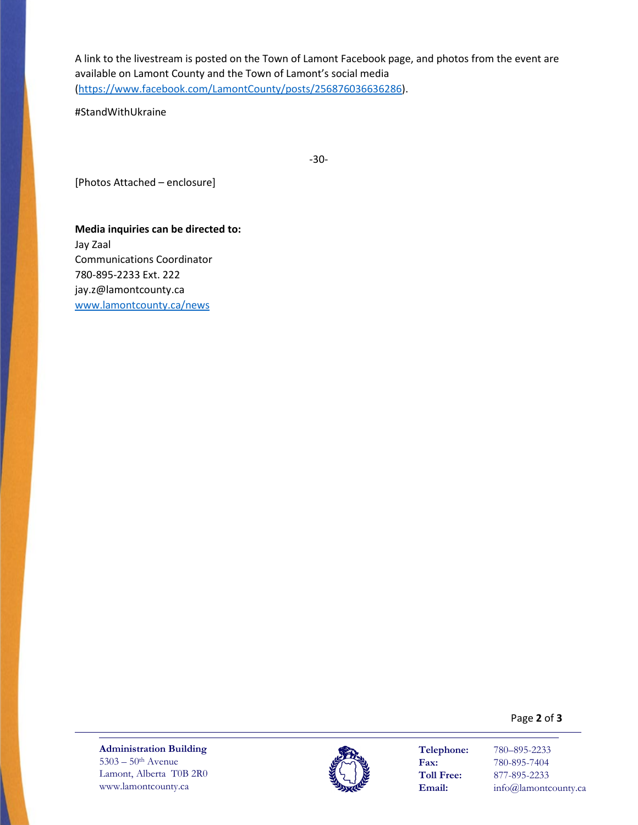A link to the livestream is posted on the Town of Lamont Facebook page, and photos from the event are available on Lamont County and the Town of Lamont's social media [\(https://www.facebook.com/LamontCounty/posts/256876036636286\)](https://www.facebook.com/LamontCounty/posts/256876036636286).

#StandWithUkraine

-30-

[Photos Attached – enclosure]

**Media inquiries can be directed to:** Jay Zaal Communications Coordinator 780-895-2233 Ext. 222 jay.z@lamontcounty.ca [www.lamontcounty.ca/news](http://www.lamontcounty.ca/news)

Page **2** of **3**

**Administration Building**  $5303 - 50$ <sup>th</sup> Avenue Lamont, Alberta T0B 2R0 www.lamontcounty.ca



**Telephone:** 780–895-2233 **Fax:** 780-895-7404<br> **Toll Free:** 877-895-2233 **Toll Free:** 877-895-2233 **Email:** info@lamontcounty.ca